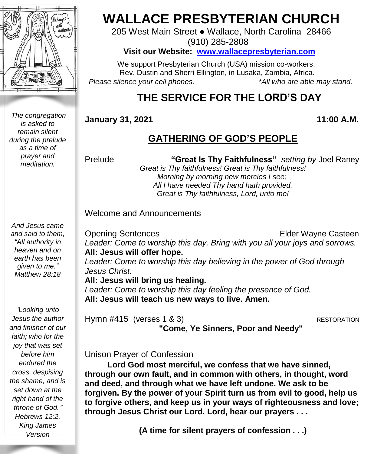

*The congregation is asked to remain silent during the prelude as a time of prayer and meditation.*

*And Jesus came and said to them, "All authority in heaven and on earth has been given to me." Matthew 28:18*

"*Looking unto Jesus the author and finisher of our faith; who for the joy that was set before him endured the cross, despising the shame, and is set down at the right hand of the throne of God.*" *Hebrews 12:2, King James Version*

# **WALLACE PRESBYTERIAN CHURCH**

205 West Main Street ● Wallace, North Carolina 28466 (910) 285-2808

#### **Visit our Website: [www.wallacepresbyterian.com](http://www.wallacepresbyterian.com/)**

 We support Presbyterian Church (USA) mission co-workers, Rev. Dustin and Sherri Ellington, in Lusaka, Zambia, Africa. *Please silence your cell phones. \*All who are able may stand.*

# **THE SERVICE FOR THE LORD'S DAY**

**January 31, 2021 11:00 A.M.**

## **GATHERING OF GOD'S PEOPLE**

Prelude **"Great Is Thy Faithfulness"** *setting by* Joel Raney *Great is Thy faithfulness! Great is Thy faithfulness! Morning by morning new mercies I see; All I have needed Thy hand hath provided. Great is Thy faithfulness, Lord, unto me!*

#### Welcome and Announcements

Opening Sentences **Elder Wayne Casteen** *Leader: Come to worship this day. Bring with you all your joys and sorrows.* **All: Jesus will offer hope.**

*Leader: Come to worship this day believing in the power of God through Jesus Christ.*

#### **All: Jesus will bring us healing.**

*Leader: Come to worship this day feeling the presence of God.* **All: Jesus will teach us new ways to live. Amen.**

Hymn #415 (verses 1 & 3) RESTORATION  **"Come, Ye Sinners, Poor and Needy"**

#### Unison Prayer of Confession

 **Lord God most merciful, we confess that we have sinned, through our own fault, and in common with others, in thought, word and deed, and through what we have left undone. We ask to be forgiven. By the power of your Spirit turn us from evil to good, help us to forgive others, and keep us in your ways of righteousness and love; through Jesus Christ our Lord. Lord, hear our prayers . . .**

**(A time for silent prayers of confession . . .)**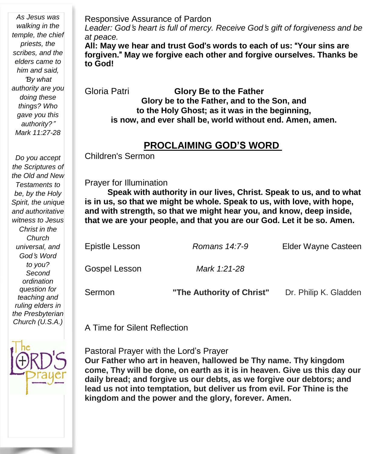*As Jesus was walking in the temple, the chief priests, the scribes, and the elders came to him and said,* "*By what authority are you doing these things? Who gave you this authority?*" *Mark 11:27-28*

*Do you accept the Scriptures of the Old and New Testaments to be, by the Holy Spirit, the unique and authoritative witness to Jesus Christ in the Church universal, and God*'*s Word to you? Second ordination question for teaching and ruling elders in the Presbyterian Church (U.S.A.)*



Responsive Assurance of Pardon

*Leader: God*'*s heart is full of mercy. Receive God*'*s gift of forgiveness and be at peace.*

**All: May we hear and trust God**'**s words to each of us:** "**Your sins are forgiven.**" **May we forgive each other and forgive ourselves. Thanks be to God!**

Gloria Patri **Glory Be to the Father Glory be to the Father, and to the Son, and to the Holy Ghost; as it was in the beginning, is now, and ever shall be, world without end. Amen, amen.**

# **PROCLAIMING GOD'S WORD**

Children's Sermon

Prayer for Illumination

 **Speak with authority in our lives, Christ. Speak to us, and to what is in us, so that we might be whole. Speak to us, with love, with hope, and with strength, so that we might hear you, and know, deep inside, that we are your people, and that you are our God. Let it be so. Amen.**

| Sermon         | "The Authority of Christ" | Dr. Philip K. Gladden |
|----------------|---------------------------|-----------------------|
| Gospel Lesson  | Mark 1:21-28              |                       |
| Epistle Lesson | Romans 14:7-9             | Elder Wayne Casteen   |

A Time for Silent Reflection

Pastoral Prayer with the Lord's Prayer

**Our Father who art in heaven, hallowed be Thy name. Thy kingdom come, Thy will be done, on earth as it is in heaven. Give us this day our daily bread; and forgive us our debts, as we forgive our debtors; and lead us not into temptation, but deliver us from evil. For Thine is the kingdom and the power and the glory, forever. Amen.**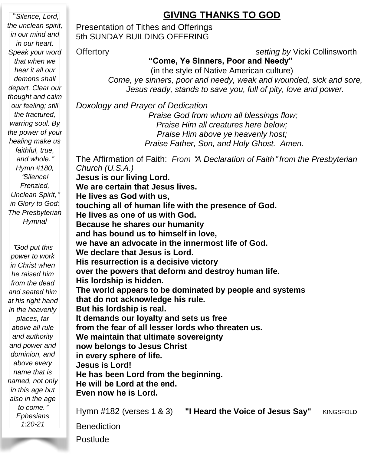"*Silence, Lord, the unclean spirit, in our mind and in our heart. Speak your word that when we hear it all our demons shall depart. Clear our thought and calm our feeling; still the fractured, warring soul. By the power of your healing make us faithful, true, and whole.*" *Hymn #180,* "*Silence! Frenzied, Unclean Spirit,*" *in Glory to God: The Presbyterian Hymnal*

"*God put this power to work in Christ when he raised him from the dead and seated him at his right hand in the heavenly places, far above all rule and authority and power and dominion, and above every name that is named, not only in this age but also in the age to come.*" *Ephesians 1:20-21*

## **GIVING THANKS TO GOD**

Presentation of Tithes and Offerings 5th SUNDAY BUILDING OFFERING

Offertory *setting by* Vicki Collinsworth

**"Come, Ye Sinners, Poor and Needy"**

(in the style of Native American culture) *Come, ye sinners, poor and needy, weak and wounded, sick and sore, Jesus ready, stands to save you, full of pity, love and power.*

*Doxology and Prayer of Dedication* 

*Praise God from whom all blessings flow; Praise Him all creatures here below; Praise Him above ye heavenly host; Praise Father, Son, and Holy Ghost. Amen.*

The Affirmation of Faith: *From* "*A Declaration of Faith*" *from the Presbyterian Church (U.S.A.)*

 **Jesus is our living Lord. We are certain that Jesus lives. in every sphere of life. He lives as God with us, touching all of human life with the presence of God. He lives as one of us with God. Because he shares our humanity and has bound us to himself in love, we have an advocate in the innermost life of God. We declare that Jesus is Lord. His resurrection is a decisive victory over the powers that deform and destroy human life. His lordship is hidden. The world appears to be dominated by people and systems that do not acknowledge his rule. But his lordship is real. It demands our loyalty and sets us free from the fear of all lesser lords who threaten us. We maintain that ultimate sovereignty now belongs to Jesus Christ Jesus is Lord! He has been Lord from the beginning. He will be Lord at the end. Even now he is Lord.** Hymn #182 (verses 1 & 3) **"I Heard the Voice of Jesus Say"** KINGSFOLD

**Benediction** 

Postlude